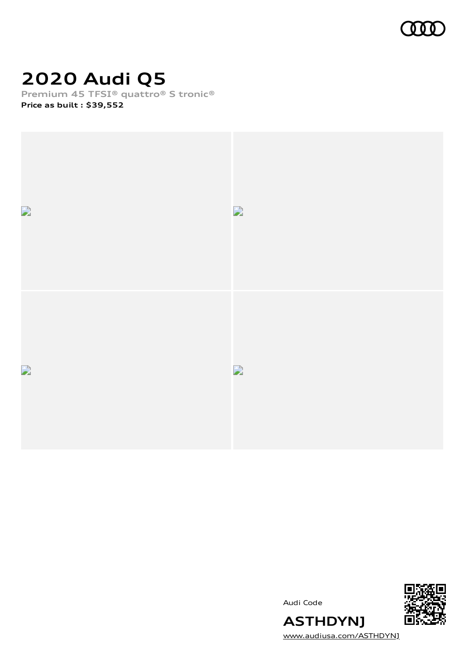

# **2020 Audi Q5**

**Premium 45 TFSI® quattro® S tronic® Price as built [:](#page-8-0) \$39,552**







[www.audiusa.com/ASTHDYNJ](https://www.audiusa.com/ASTHDYNJ)

**ASTHDYNJ**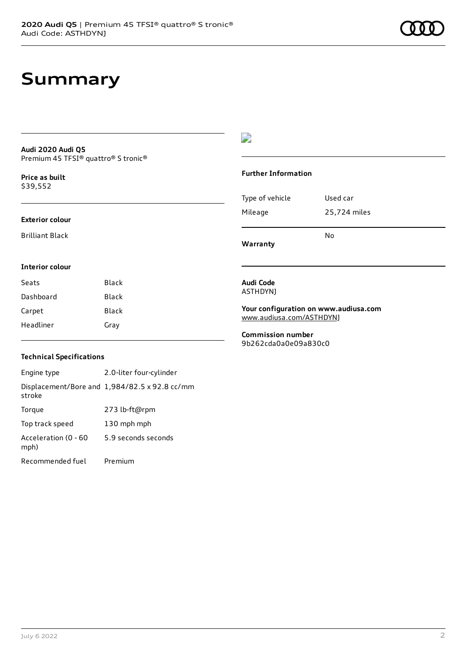## **Summary**

#### **Audi 2020 Audi Q5** Premium 45 TFSI® quattro® S tronic®

**Price as buil[t](#page-8-0)** \$39,552

#### **Exterior colour**

Brilliant Black

**Interior colour**

#### D

#### **Further Information**

|                 | N٥           |
|-----------------|--------------|
| Mileage         | 25,724 miles |
| Type of vehicle | Used car     |

**Warranty**

### **Audi Code**

ASTHDYNJ

**Your configuration on www.audiusa.com** [www.audiusa.com/ASTHDYNJ](https://www.audiusa.com/ASTHDYNJ)

**Commission number** 9b262cda0a0e09a830c0

#### **Technical Specifications**

Seats Black Dashboard Black Carpet Black Headliner Gray

Engine type 2.0-liter four-cylinder Displacement/Bore and 1,984/82.5 x 92.8 cc/mm stroke Torque 273 lb-ft@rpm Top track speed 130 mph mph Acceleration (0 - 60 mph) 5.9 seconds seconds Recommended fuel Premium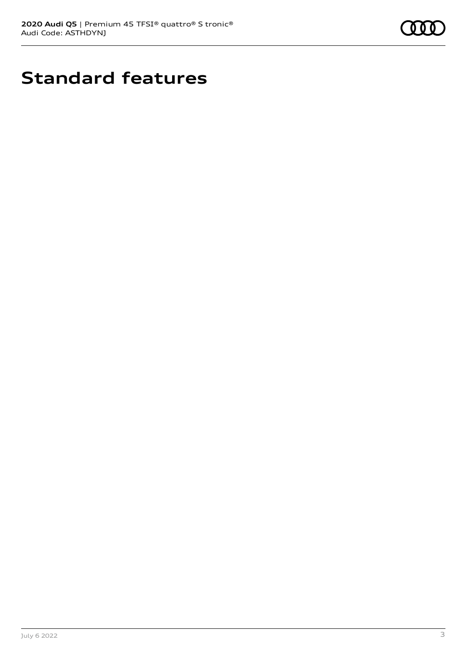

# **Standard features**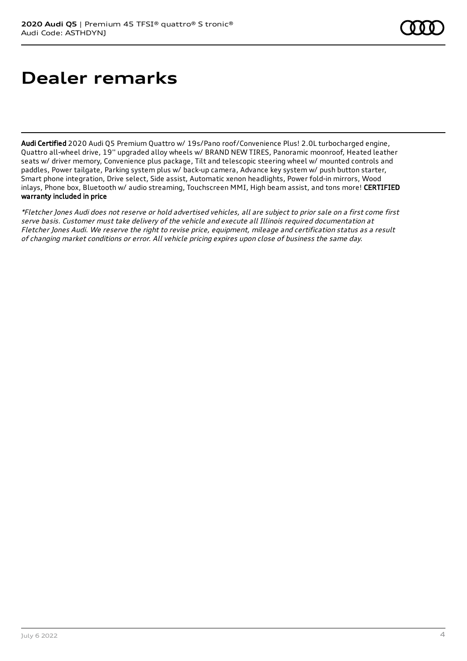# **Dealer remarks**

Audi Certified 2020 Audi Q5 Premium Quattro w/ 19s/Pano roof/Convenience Plus! 2.0L turbocharged engine, Quattro all-wheel drive, 19'' upgraded alloy wheels w/ BRAND NEW TIRES, Panoramic moonroof, Heated leather seats w/ driver memory, Convenience plus package, Tilt and telescopic steering wheel w/ mounted controls and paddles, Power tailgate, Parking system plus w/ back-up camera, Advance key system w/ push button starter, Smart phone integration, Drive select, Side assist, Automatic xenon headlights, Power fold-in mirrors, Wood inlays, Phone box, Bluetooth w/ audio streaming, Touchscreen MMI, High beam assist, and tons more! CERTIFIED warranty included in price

\*Fletcher Jones Audi does not reserve or hold advertised vehicles, all are subject to prior sale on <sup>a</sup> first come first serve basis. Customer must take delivery of the vehicle and execute all Illinois required documentation at Fletcher Jones Audi. We reserve the right to revise price, equipment, mileage and certification status as <sup>a</sup> result of changing market conditions or error. All vehicle pricing expires upon close of business the same day.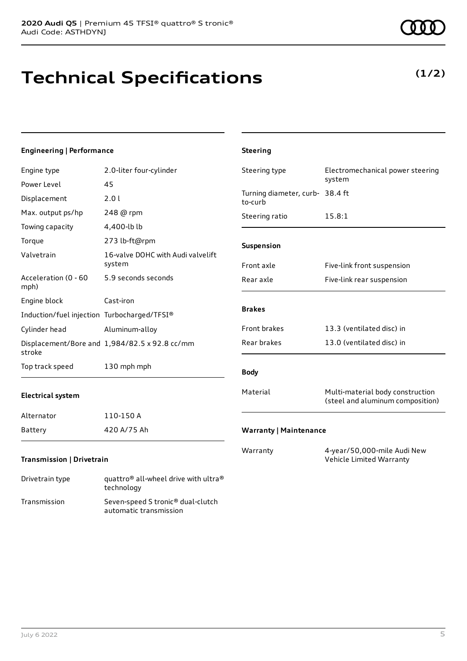technology Transmission Seven-speed S tronic® dual-clutch

automatic transmission

# **Technical Specifications**

#### **Engineering | Performance**

| Engine type                                 | 2.0-liter four-cylinder                                      | Steering type                              | Electromechanical power steering<br>system                           |
|---------------------------------------------|--------------------------------------------------------------|--------------------------------------------|----------------------------------------------------------------------|
| Power Level                                 | 45                                                           |                                            |                                                                      |
| Displacement                                | 2.0 l                                                        | Turning diameter, curb- 38.4 ft<br>to-curb |                                                                      |
| Max. output ps/hp                           | 248 @ rpm                                                    | Steering ratio                             | 15.8:1                                                               |
| Towing capacity                             | 4,400-lb lb                                                  |                                            |                                                                      |
| Torque                                      | 273 lb-ft@rpm                                                | Suspension                                 |                                                                      |
| Valvetrain                                  | 16-valve DOHC with Audi valvelift<br>system                  | Front axle                                 | Five-link front suspension                                           |
| Acceleration (0 - 60<br>mph)                | 5.9 seconds seconds                                          | Rear axle                                  | Five-link rear suspension                                            |
| Engine block                                | Cast-iron                                                    |                                            |                                                                      |
| Induction/fuel injection Turbocharged/TFSI® |                                                              | <b>Brakes</b>                              |                                                                      |
| Cylinder head                               | Aluminum-alloy                                               | Front brakes                               | 13.3 (ventilated disc) in                                            |
| stroke                                      | Displacement/Bore and 1,984/82.5 x 92.8 cc/mm                | Rear brakes                                | 13.0 (ventilated disc) in                                            |
| Top track speed                             | 130 mph mph                                                  | <b>Body</b>                                |                                                                      |
| <b>Electrical system</b>                    |                                                              | Material                                   | Multi-material body construction<br>(steel and aluminum composition) |
| Alternator                                  | 110-150 A                                                    |                                            |                                                                      |
| <b>Battery</b>                              | 420 A/75 Ah                                                  | <b>Warranty   Maintenance</b>              |                                                                      |
| <b>Transmission   Drivetrain</b>            |                                                              | Warranty                                   | 4-year/50,000-mile Audi New<br>Vehicle Limited Warranty              |
| Drivetrain type                             | quattro <sup>®</sup> all-wheel drive with ultra <sup>®</sup> |                                            |                                                                      |

**Steering**

**(1/2)**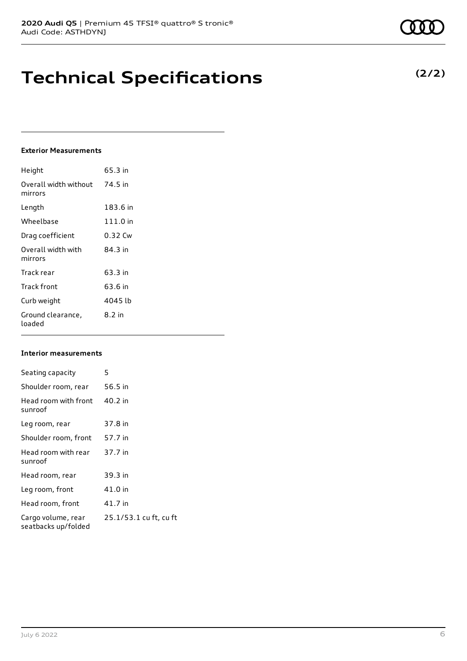## **Technical Specifications**

#### **Exterior Measurements**

| Height                           | 65.3 in    |
|----------------------------------|------------|
| Overall width without<br>mirrors | 74.5 in    |
| Length                           | 183.6 in   |
| Wheelbase                        | $111.0$ in |
| Drag coefficient                 | 0.32 Cw    |
| Overall width with<br>mirrors    | 84.3 in    |
| Track rear                       | 63.3 in    |
| Track front                      | 63.6 in    |
| Curb weight                      | 4045 lb    |
| Ground clearance,<br>loaded      | 8.2 in     |

#### **Interior measurements**

| Seating capacity                          | 5                      |
|-------------------------------------------|------------------------|
| Shoulder room, rear                       | 56.5 in                |
| Head room with front<br>sunroof           | 40.2 in                |
| Leg room, rear                            | 37.8 in                |
| Shoulder room, front                      | 57.7 in                |
| Head room with rear<br>sunroof            | 37.7 in                |
| Head room, rear                           | 39.3 in                |
| Leg room, front                           | 41.0 in                |
| Head room, front                          | 41.7 in                |
| Cargo volume, rear<br>seatbacks up/folded | 25.1/53.1 cu ft, cu ft |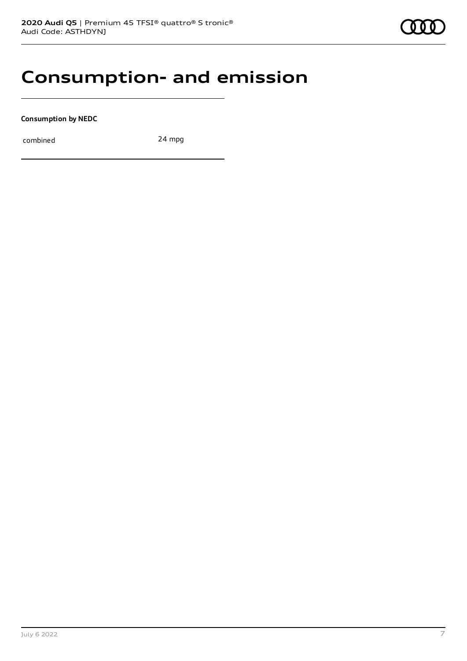## **Consumption- and emission**

**Consumption by NEDC**

combined 24 mpg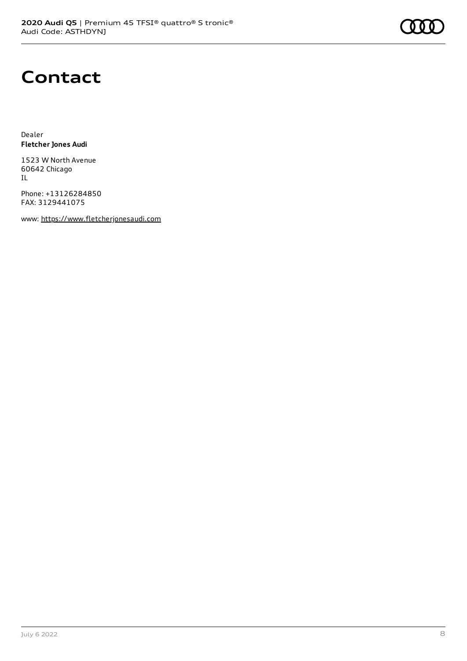## **Contact**

Dealer **Fletcher Jones Audi**

1523 W North Avenue 60642 Chicago IL

Phone: +13126284850 FAX: 3129441075

www: [https://www.fletcherjonesaudi.com](https://www.fletcherjonesaudi.com/)